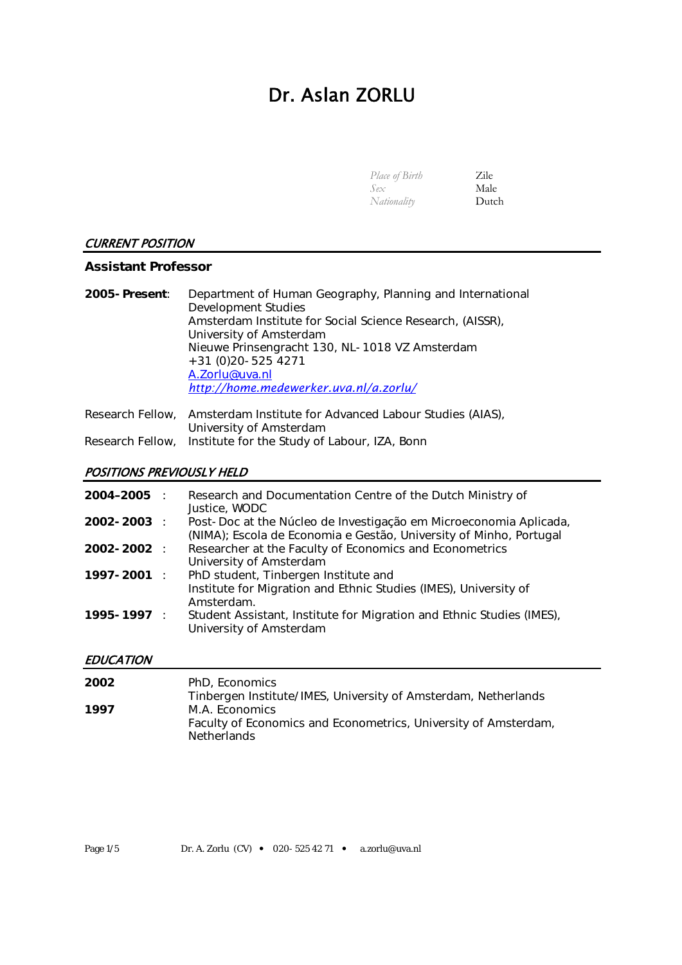# Dr. Aslan ZORLU

| <i>Place of Birth</i> | <b>Zile</b> |
|-----------------------|-------------|
| Sex                   | Male        |
| Nationality           | Dutch       |

#### CURRENT POSITION

#### **Assistant Professor**

| 2005-Present: | Department of Human Geography, Planning and International<br>Development Studies |
|---------------|----------------------------------------------------------------------------------|
|               | Amsterdam Institute for Social Science Research, (AISSR),                        |
|               | University of Amsterdam                                                          |
|               | Nieuwe Prinsengracht 130, NL-1018 VZ Amsterdam                                   |
|               | $+31(0)20 - 5254271$                                                             |
|               | A.Zorlu@uva.nl                                                                   |
|               | http://home.medewerker.uva.nl/a.zorlu/                                           |
|               |                                                                                  |

| Research Fellow, Amsterdam Institute for Advanced Labour Studies (AIAS), |
|--------------------------------------------------------------------------|
| University of Amsterdam                                                  |
| Research Fellow, Institute for the Study of Labour, IZA, Bonn            |

# POSITIONS PREVIOUSLY HELD

| 2004–2005 :     | Research and Documentation Centre of the Dutch Ministry of<br>Justice, WODC                                                             |
|-----------------|-----------------------------------------------------------------------------------------------------------------------------------------|
| $2002 - 2003$ : | Post-Doc at the Núcleo de Investigação em Microeconomia Aplicada,<br>(NIMA); Escola de Economia e Gestão, University of Minho, Portugal |
| $2002 - 2002$ : | Researcher at the Faculty of Economics and Econometrics<br>University of Amsterdam                                                      |
| $1997 - 2001$ : | PhD student, Tinbergen Institute and<br>Institute for Migration and Ethnic Studies (IMES), University of<br>Amsterdam.                  |
| $1995 - 1997$ : | Student Assistant, Institute for Migration and Ethnic Studies (IMES),<br>University of Amsterdam                                        |

## **EDUCATION**

| 2002 | PhD, Economics                                                                        |
|------|---------------------------------------------------------------------------------------|
|      | Tinbergen Institute/IMES, University of Amsterdam, Netherlands                        |
| 1997 | M.A. Economics                                                                        |
|      | Faculty of Economics and Econometrics, University of Amsterdam,<br><b>Netherlands</b> |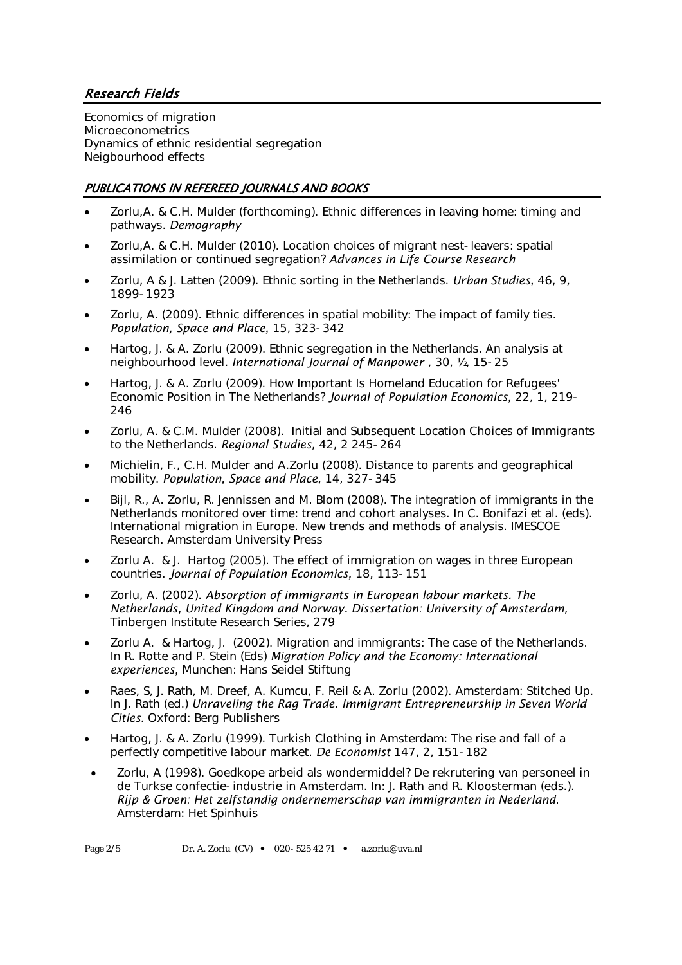# Research Fields

Economics of migration **Microeconometrics** Dynamics of ethnic residential segregation Neigbourhood effects

## PUBLICATIONS IN REFEREED JOURNALS AND BOOKS

- Zorlu,A. & C.H. Mulder (forthcoming). Ethnic differences in leaving home: timing and pathways. *Demography*
- Zorlu,A. & C.H. Mulder (2010). Location choices of migrant nest-leavers: spatial assimilation or continued segregation? *Advances in Life Course Research*
- Zorlu, A & J. Latten (2009). Ethnic sorting in the Netherlands. *Urban Studies,* 46, 9, 1899-1923
- Zorlu, A. (2009). Ethnic differences in spatial mobility: The impact of family ties. *Population, Space and Place,* 15, 323-342
- Hartog, J. & A. Zorlu (2009). Ethnic segregation in the Netherlands. An analysis at neighbourhood level. *International Journal of Manpower* , 30, ½, 15-25
- Hartog, J. & A. Zorlu (2009). How Important Is Homeland Education for Refugees' Economic Position in The Netherlands? *Journal of Population Economics,* 22, 1, 219- 246
- Zorlu, A. & C.M. Mulder (2008). Initial and Subsequent Location Choices of Immigrants to the Netherlands. *Regional Studies*, 42, 2 245-264
- Michielin, F., C.H. Mulder and A.Zorlu (2008). Distance to parents and geographical mobility. *Population, Space and Place,* 14, 327-345
- Bijl, R., A. Zorlu, R. Jennissen and M. Blom (2008). The integration of immigrants in the Netherlands monitored over time: trend and cohort analyses. In C. Bonifazi et al. (eds). International migration in Europe. New trends and methods of analysis. IMESCOE Research. Amsterdam University Press
- Zorlu A. & J. Hartog (2005). The effect of immigration on wages in three European countries. *Journal of Population Economics,* 18, 113-151
- Zorlu, A. (2002). *Absorption of immigrants in European labour markets. The Netherlands, United Kingdom and Norway. Dissertation: University of Amsterdam*, Tinbergen Institute Research Series, 279
- Zorlu A. & Hartog, J. (2002). Migration and immigrants: The case of the Netherlands. In R. Rotte and P. Stein (Eds) *Migration Policy and the Economy: International experiences,* Munchen: Hans Seidel Stiftung
- Raes, S, J. Rath, M. Dreef, A. Kumcu, F. Reil & A. Zorlu (2002). Amsterdam: Stitched Up. In J. Rath (ed.) *Unraveling the Rag Trade. Immigrant Entrepreneurship in Seven World Cities.* Oxford: Berg Publishers
- Hartog, J. & A. Zorlu (1999). Turkish Clothing in Amsterdam: The rise and fall of a perfectly competitive labour market. *De Economist* 147, 2, 151-182
- Zorlu, A (1998). Goedkope arbeid als wondermiddel? De rekrutering van personeel in de Turkse confectie-industrie in Amsterdam. In: J. Rath and R. Kloosterman (eds.). *Rijp & Groen: Het zelfstandig ondernemerschap van immigranten in Nederland*. Amsterdam: Het Spinhuis

Page  $2/5$  Dr. A. Zorlu (CV)  $\bullet$  020-525 42 71  $\bullet$  a.zorlu@uva.nl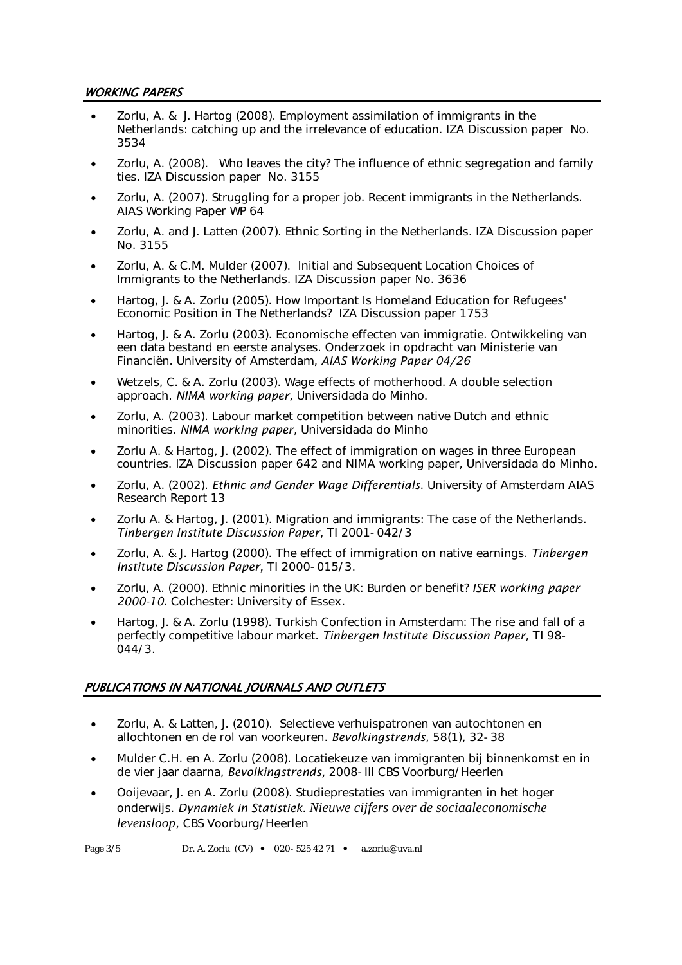#### WORKING PAPERS

- Zorlu, A. & J. Hartog (2008). Employment assimilation of immigrants in the Netherlands: catching up and the irrelevance of education. IZA Discussion paper No. 3534
- Zorlu, A. (2008). Who leaves the city? The influence of ethnic segregation and family ties. IZA Discussion paper No. 3155
- Zorlu, A. (2007). Struggling for a proper job. Recent immigrants in the Netherlands. AIAS Working Paper WP 64
- Zorlu, A. and J. Latten (2007). Ethnic Sorting in the Netherlands. IZA Discussion paper No. 3155
- Zorlu, A. & C.M. Mulder (2007). Initial and Subsequent Location Choices of Immigrants to the Netherlands. IZA Discussion paper No. 3636
- Hartog, J. & A. Zorlu (2005). How Important Is Homeland Education for Refugees' Economic Position in The Netherlands? IZA Discussion paper 1753
- Hartog, J. & A. Zorlu (2003). Economische effecten van immigratie. Ontwikkeling van een data bestand en eerste analyses. Onderzoek in opdracht van Ministerie van Financiën. University of Amsterdam, *AIAS Working Paper 04/26*
- Wetzels, C. & A. Zorlu (2003). Wage effects of motherhood. A double selection approach. *NIMA working paper*, Universidada do Minho.
- Zorlu, A. (2003). Labour market competition between native Dutch and ethnic minorities. *NIMA working paper*, Universidada do Minho
- Zorlu A. & Hartog, J. (2002). The effect of immigration on wages in three European countries. IZA Discussion paper 642 and NIMA working paper, Universidada do Minho.
- Zorlu, A. (2002). *Ethnic and Gender Wage Differentials*. University of Amsterdam AIAS Research Report 13
- Zorlu A. & Hartog, J. (2001). Migration and immigrants: The case of the Netherlands. *Tinbergen Institute Discussion Paper,* TI 2001-042/3
- Zorlu, A. & J. Hartog (2000). The effect of immigration on native earnings. *Tinbergen Institute Discussion Paper,* TI 2000-015/3.
- Zorlu, A. (2000). Ethnic minorities in the UK: Burden or benefit? *ISER working paper 2000-10*. Colchester: University of Essex.
- Hartog, J. & A. Zorlu (1998). Turkish Confection in Amsterdam: The rise and fall of a perfectly competitive labour market. *Tinbergen Institute Discussion Paper*, TI 98- 044/3.

## PUBLICATIONS IN NATIONAL JOURNALS AND OUTLETS

- Zorlu, A. & Latten, J. (2010). Selectieve verhuispatronen van autochtonen en allochtonen en de rol van voorkeuren. *Bevolkingstrends*, 58(1), 32-38
- Mulder C.H. en A. Zorlu (2008). Locatiekeuze van immigranten bij binnenkomst en in de vier jaar daarna, *Bevolkingstrends,* 2008-III CBS Voorburg/Heerlen
- Ooijevaar, J. en A. Zorlu (2008). Studieprestaties van immigranten in het hoger onderwijs. *Dynamiek in Statistiek. Nieuwe cijfers over de sociaaleconomische levensloop*, CBS Voorburg/Heerlen

Page  $3/5$  Dr. A. Zorlu (CV)  $\bullet$  020-525 42 71  $\bullet$  a.zorlu@uva.nl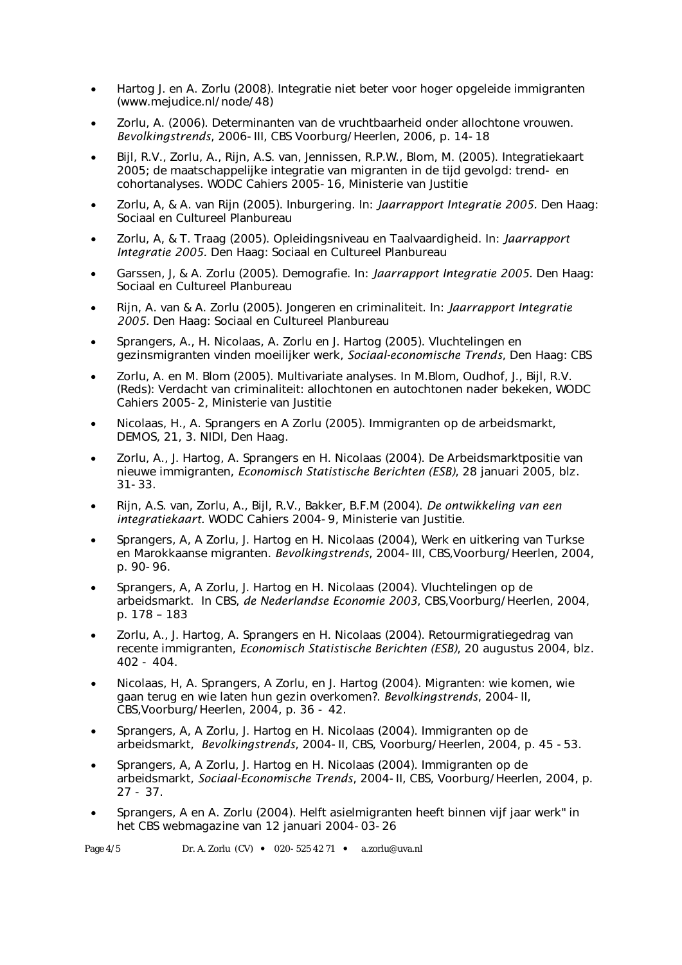- Hartog J. en A. Zorlu (2008). Integratie niet beter voor hoger opgeleide immigranten (www.mejudice.nl/node/48)
- Zorlu, A. (2006). Determinanten van de vruchtbaarheid onder allochtone vrouwen. *Bevolkingstrends*, 2006-III, CBS Voorburg/Heerlen, 2006, p. 14-18
- Bijl, R.V., Zorlu, A., Rijn, A.S. van, Jennissen, R.P.W., Blom, M. (2005). Integratiekaart 2005; de maatschappelijke integratie van migranten in de tijd gevolgd: trend- en cohortanalyses. WODC Cahiers 2005-16, Ministerie van Justitie
- Zorlu, A, & A. van Rijn (2005). Inburgering. In: *Jaarrapport Integratie 2005.* Den Haag: Sociaal en Cultureel Planbureau
- Zorlu, A, & T. Traag (2005). Opleidingsniveau en Taalvaardigheid. In: *Jaarrapport Integratie 2005.* Den Haag: Sociaal en Cultureel Planbureau
- Garssen, J, & A. Zorlu (2005). Demografie. In: *Jaarrapport Integratie 2005.* Den Haag: Sociaal en Cultureel Planbureau
- Rijn, A. van & A. Zorlu (2005). Jongeren en criminaliteit. In: *Jaarrapport Integratie 2005.* Den Haag: Sociaal en Cultureel Planbureau
- Sprangers, A., H. Nicolaas, A. Zorlu en J. Hartog (2005). Vluchtelingen en gezinsmigranten vinden moeilijker werk, *Sociaal-economische Trends*, Den Haag: CBS
- Zorlu, A. en M. Blom (2005). Multivariate analyses. In M.Blom, Oudhof, J., Bijl, R.V. (Reds): Verdacht van criminaliteit: allochtonen en autochtonen nader bekeken, WODC Cahiers 2005-2, Ministerie van Justitie
- Nicolaas, H., A. Sprangers en A Zorlu (2005). Immigranten op de arbeidsmarkt, DEMOS, 21, 3. NIDI, Den Haag.
- Zorlu, A., J. Hartog, A. Sprangers en H. Nicolaas (2004). De Arbeidsmarktpositie van nieuwe immigranten, *Economisch Statistische Berichten (ESB)*, 28 januari 2005, blz. 31-33.
- Rijn, A.S. van, Zorlu, A., Bijl, R.V., Bakker, B.F.M (2004). *De ontwikkeling van een integratiekaart.* WODC Cahiers 2004-9, Ministerie van Justitie.
- Sprangers, A, A Zorlu, J. Hartog en H. Nicolaas (2004), Werk en uitkering van Turkse en Marokkaanse migranten. *Bevolkingstrends*, 2004-III, CBS,Voorburg/Heerlen, 2004, p. 90-96.
- Sprangers, A, A Zorlu, J. Hartog en H. Nicolaas (2004). Vluchtelingen op de arbeidsmarkt. In CBS, *de Nederlandse Economie 2003*, CBS,Voorburg/Heerlen, 2004, p. 178 – 183
- Zorlu, A., J. Hartog, A. Sprangers en H. Nicolaas (2004). Retourmigratiegedrag van recente immigranten, *Economisch Statistische Berichten (ESB)*, 20 augustus 2004, blz.  $402 - 404$ .
- Nicolaas, H, A. Sprangers, A Zorlu, en J. Hartog (2004). Migranten: wie komen, wie gaan terug en wie laten hun gezin overkomen?. *Bevolkingstrends*, 2004-II, CBS,Voorburg/Heerlen, 2004, p. 36 - 42.
- Sprangers, A, A Zorlu, J. Hartog en H. Nicolaas (2004). Immigranten op de arbeidsmarkt, *Bevolkingstrends*, 2004-II, CBS, Voorburg/Heerlen, 2004, p. 45 -53.
- Sprangers, A, A Zorlu, J. Hartog en H. Nicolaas (2004). Immigranten op de arbeidsmarkt, *Sociaal-Economische Trends*, 2004-II, CBS, Voorburg/Heerlen, 2004, p. 27 - 37.
- Sprangers, A en A. Zorlu (2004). Helft asielmigranten heeft binnen vijf jaar werk" in het CBS webmagazine van 12 januari 2004-03-26

Page  $4/5$  Dr. A. Zorlu (CV)  $\bullet$  020-525 42 71  $\bullet$  a.zorlu@uva.nl